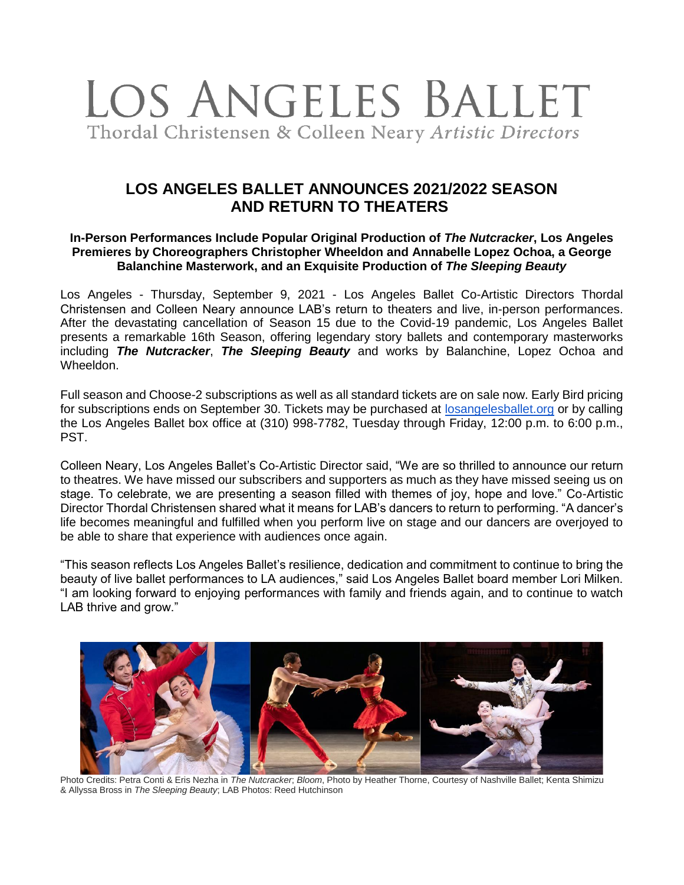

# **LOS ANGELES BALLET ANNOUNCES 2021/2022 SEASON AND RETURN TO THEATERS**

#### **In-Person Performances Include Popular Original Production of** *The Nutcracker***, Los Angeles Premieres by Choreographers Christopher Wheeldon and Annabelle Lopez Ochoa, a George Balanchine Masterwork, and an Exquisite Production of** *The Sleeping Beauty*

Los Angeles - Thursday, September 9, 2021 - Los Angeles Ballet Co-Artistic Directors Thordal Christensen and Colleen Neary announce LAB's return to theaters and live, in-person performances. After the devastating cancellation of Season 15 due to the Covid-19 pandemic, Los Angeles Ballet presents a remarkable 16th Season, offering legendary story ballets and contemporary masterworks including *The Nutcracker*, *The Sleeping Beauty* and works by Balanchine, Lopez Ochoa and Wheeldon.

Full season and Choose-2 subscriptions as well as all standard tickets are on sale now. Early Bird pricing for subscriptions ends on September 30. Tickets may be purchased at [losangelesballet.org](https://www.losangelesballet.org/) or by calling the Los Angeles Ballet box office at (310) 998-7782, Tuesday through Friday, 12:00 p.m. to 6:00 p.m., PST.

Colleen Neary, Los Angeles Ballet's Co-Artistic Director said, "We are so thrilled to announce our return to theatres. We have missed our subscribers and supporters as much as they have missed seeing us on stage. To celebrate, we are presenting a season filled with themes of joy, hope and love." Co-Artistic Director Thordal Christensen shared what it means for LAB's dancers to return to performing. "A dancer's life becomes meaningful and fulfilled when you perform live on stage and our dancers are overjoyed to be able to share that experience with audiences once again.

"This season reflects Los Angeles Ballet's resilience, dedication and commitment to continue to bring the beauty of live ballet performances to LA audiences," said Los Angeles Ballet board member Lori Milken. "I am looking forward to enjoying performances with family and friends again, and to continue to watch LAB thrive and grow."



Photo Credits: Petra Conti & Eris Nezha in *The Nutcracker*; *Bloom*, Photo by Heather Thorne, Courtesy of Nashville Ballet; Kenta Shimizu & Allyssa Bross in *The Sleeping Beauty*; LAB Photos: Reed Hutchinson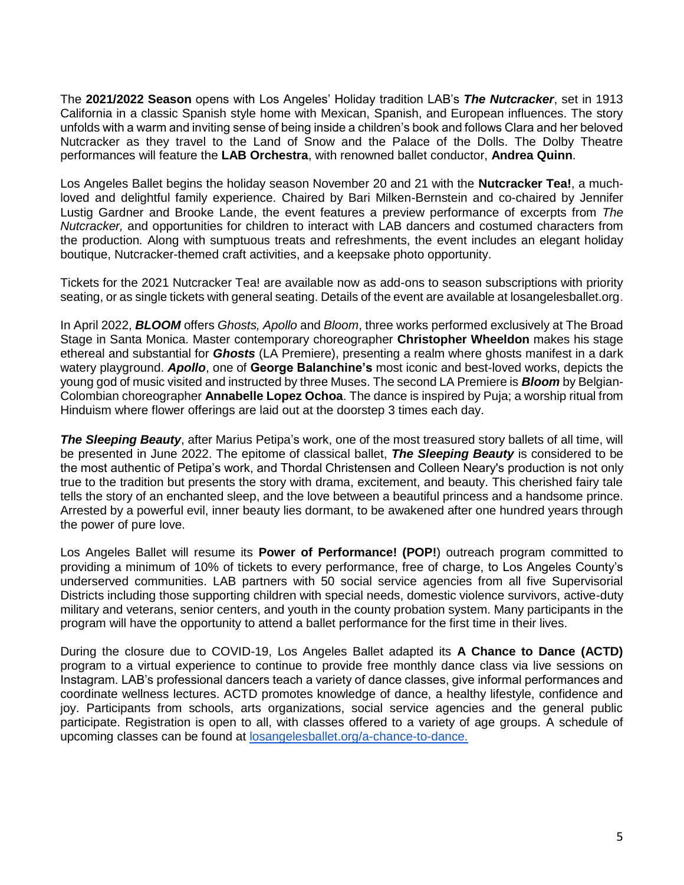The **2021/2022 Season** opens with Los Angeles' Holiday tradition LAB's *The Nutcracker*, set in 1913 California in a classic Spanish style home with Mexican, Spanish, and European influences. The story unfolds with a warm and inviting sense of being inside a children's book and follows Clara and her beloved Nutcracker as they travel to the Land of Snow and the Palace of the Dolls. The Dolby Theatre performances will feature the **LAB Orchestra**, with renowned ballet conductor, **Andrea Quinn**.

Los Angeles Ballet begins the holiday season November 20 and 21 with the **Nutcracker Tea!**, a muchloved and delightful family experience. Chaired by Bari Milken-Bernstein and co-chaired by Jennifer Lustig Gardner and Brooke Lande, the event features a preview performance of excerpts from *The Nutcracker,* and opportunities for children to interact with LAB dancers and costumed characters from the production*.* Along with sumptuous treats and refreshments, the event includes an elegant holiday boutique, Nutcracker-themed craft activities, and a keepsake photo opportunity.

Tickets for the 2021 Nutcracker Tea! are available now as add-ons to season subscriptions with priority seating, or as single tickets with general seating. Details of the event are available at losangelesballet.org.

In April 2022, *BLOOM* offers *Ghosts, Apollo* and *Bloom*, three works performed exclusively at The Broad Stage in Santa Monica. Master contemporary choreographer **Christopher Wheeldon** makes his stage ethereal and substantial for *Ghosts* (LA Premiere), presenting a realm where ghosts manifest in a dark watery playground. *Apollo*, one of **George Balanchine's** most iconic and best-loved works, depicts the young god of music visited and instructed by three Muses. The second LA Premiere is *Bloom* by Belgian-Colombian choreographer **Annabelle Lopez Ochoa**. The dance is inspired by Puja; a worship ritual from Hinduism where flower offerings are laid out at the doorstep 3 times each day.

*The Sleeping Beauty*, after Marius Petipa's work, one of the most treasured story ballets of all time, will be presented in June 2022. The epitome of classical ballet, *The Sleeping Beauty* is considered to be the most authentic of Petipa's work, and Thordal Christensen and Colleen Neary's production is not only true to the tradition but presents the story with drama, excitement, and beauty. This cherished fairy tale tells the story of an enchanted sleep, and the love between a beautiful princess and a handsome prince. Arrested by a powerful evil, inner beauty lies dormant, to be awakened after one hundred years through the power of pure love.

Los Angeles Ballet will resume its **Power of Performance! (POP!**) outreach program committed to providing a minimum of 10% of tickets to every performance, free of charge, to Los Angeles County's underserved communities. LAB partners with 50 social service agencies from all five Supervisorial Districts including those supporting children with special needs, domestic violence survivors, active-duty military and veterans, senior centers, and youth in the county probation system. Many participants in the program will have the opportunity to attend a ballet performance for the first time in their lives.

During the closure due to COVID-19, Los Angeles Ballet adapted its **A Chance to Dance (ACTD)** program to a virtual experience to continue to provide free monthly dance class via live sessions on Instagram. LAB's professional dancers teach a variety of dance classes, give informal performances and coordinate wellness lectures. ACTD promotes knowledge of dance, a healthy lifestyle, confidence and joy. Participants from schools, arts organizations, social service agencies and the general public participate. Registration is open to all, with classes offered to a variety of age groups. A schedule of upcoming classes can be found at [losangelesballet.org/a-chance-to-dance.](https://losangelesballet.org/a-chance-to-dance)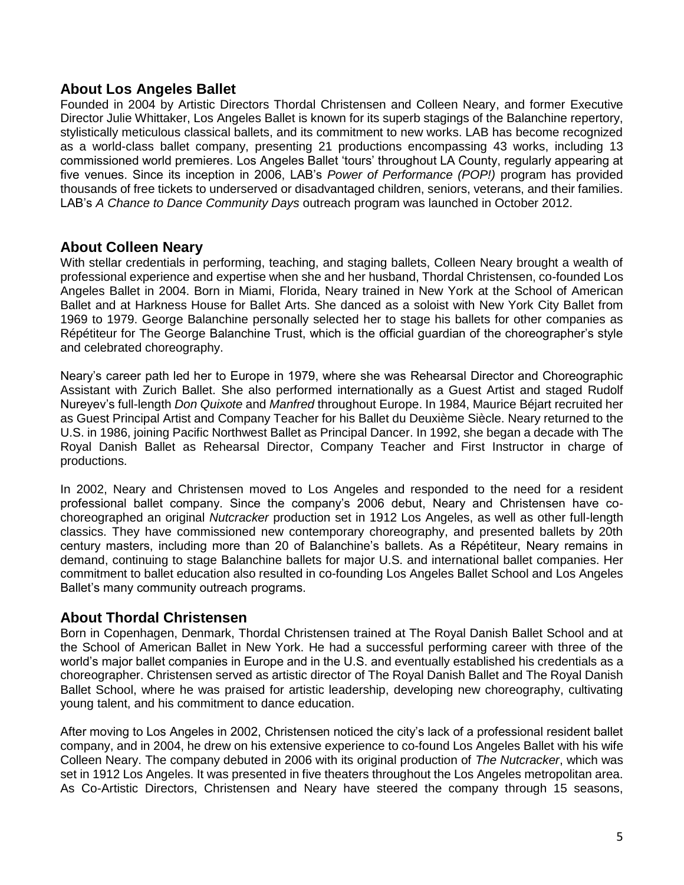### **About Los Angeles Ballet**

Founded in 2004 by Artistic Directors Thordal Christensen and Colleen Neary, and former Executive Director Julie Whittaker, Los Angeles Ballet is known for its superb stagings of the Balanchine repertory, stylistically meticulous classical ballets, and its commitment to new works. LAB has become recognized as a world-class ballet company, presenting 21 productions encompassing 43 works, including 13 commissioned world premieres. Los Angeles Ballet 'tours' throughout LA County, regularly appearing at five venues. Since its inception in 2006, LAB's *Power of Performance (POP!)* program has provided thousands of free tickets to underserved or disadvantaged children, seniors, veterans, and their families. LAB's *A Chance to Dance Community Days* outreach program was launched in October 2012.

# **About Colleen Neary**

With stellar credentials in performing, teaching, and staging ballets, Colleen Neary brought a wealth of professional experience and expertise when she and her husband, Thordal Christensen, co-founded Los Angeles Ballet in 2004. Born in Miami, Florida, Neary trained in New York at the School of American Ballet and at Harkness House for Ballet Arts. She danced as a soloist with New York City Ballet from 1969 to 1979. George Balanchine personally selected her to stage his ballets for other companies as Répétiteur for The George Balanchine Trust, which is the official guardian of the choreographer's style and celebrated choreography.

Neary's career path led her to Europe in 1979, where she was Rehearsal Director and Choreographic Assistant with Zurich Ballet. She also performed internationally as a Guest Artist and staged Rudolf Nureyev's full-length *Don Quixote* and *Manfred* throughout Europe. In 1984, Maurice Béjart recruited her as Guest Principal Artist and Company Teacher for his Ballet du Deuxième Siècle. Neary returned to the U.S. in 1986, joining Pacific Northwest Ballet as Principal Dancer. In 1992, she began a decade with The Royal Danish Ballet as Rehearsal Director, Company Teacher and First Instructor in charge of productions.

In 2002, Neary and Christensen moved to Los Angeles and responded to the need for a resident professional ballet company. Since the company's 2006 debut, Neary and Christensen have cochoreographed an original *Nutcracker* production set in 1912 Los Angeles, as well as other full-length classics. They have commissioned new contemporary choreography, and presented ballets by 20th century masters, including more than 20 of Balanchine's ballets. As a Répétiteur, Neary remains in demand, continuing to stage Balanchine ballets for major U.S. and international ballet companies. Her commitment to ballet education also resulted in co-founding Los Angeles Ballet School and Los Angeles Ballet's many community outreach programs.

### **About Thordal Christensen**

Born in Copenhagen, Denmark, Thordal Christensen trained at The Royal Danish Ballet School and at the School of American Ballet in New York. He had a successful performing career with three of the world's major ballet companies in Europe and in the U.S. and eventually established his credentials as a choreographer. Christensen served as artistic director of The Royal Danish Ballet and The Royal Danish Ballet School, where he was praised for artistic leadership, developing new choreography, cultivating young talent, and his commitment to dance education.

After moving to Los Angeles in 2002, Christensen noticed the city's lack of a professional resident ballet company, and in 2004, he drew on his extensive experience to co-found Los Angeles Ballet with his wife Colleen Neary. The company debuted in 2006 with its original production of *The Nutcracker*, which was set in 1912 Los Angeles. It was presented in five theaters throughout the Los Angeles metropolitan area. As Co-Artistic Directors, Christensen and Neary have steered the company through 15 seasons,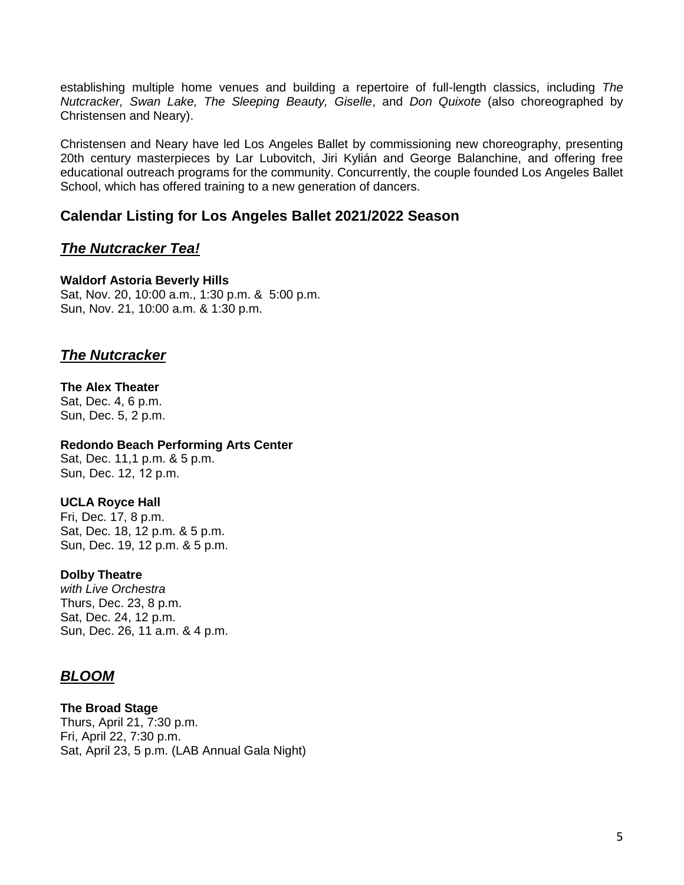establishing multiple home venues and building a repertoire of full-length classics, including *The Nutcracker, Swan Lake, The Sleeping Beauty, Giselle*, and *Don Quixote* (also choreographed by Christensen and Neary).

Christensen and Neary have led Los Angeles Ballet by commissioning new choreography, presenting 20th century masterpieces by Lar Lubovitch, Jiri Kylián and George Balanchine, and offering free educational outreach programs for the community. Concurrently, the couple founded Los Angeles Ballet School, which has offered training to a new generation of dancers.

# **Calendar Listing for Los Angeles Ballet 2021/2022 Season**

# *The Nutcracker Tea!*

#### **Waldorf Astoria Beverly Hills**

Sat, Nov. 20, 10:00 a.m., 1:30 p.m. & 5:00 p.m. Sun, Nov. 21, 10:00 a.m. & 1:30 p.m.

# *The Nutcracker*

#### **The Alex Theater**

Sat, Dec. 4, 6 p.m. Sun, Dec. 5, 2 p.m.

#### **Redondo Beach Performing Arts Center**

Sat, Dec. 11,1 p.m. & 5 p.m. Sun, Dec. 12, 12 p.m.

#### **UCLA Royce Hall**

Fri, Dec. 17, 8 p.m. Sat, Dec. 18, 12 p.m. & 5 p.m. Sun, Dec. 19, 12 p.m. & 5 p.m.

#### **Dolby Theatre**

*with Live Orchestra* Thurs, Dec. 23, 8 p.m. Sat, Dec. 24, 12 p.m. Sun, Dec. 26, 11 a.m. & 4 p.m.

# *BLOOM*

**The Broad Stage**  Thurs, April 21, 7:30 p.m. Fri, April 22, 7:30 p.m. Sat, April 23, 5 p.m. (LAB Annual Gala Night)